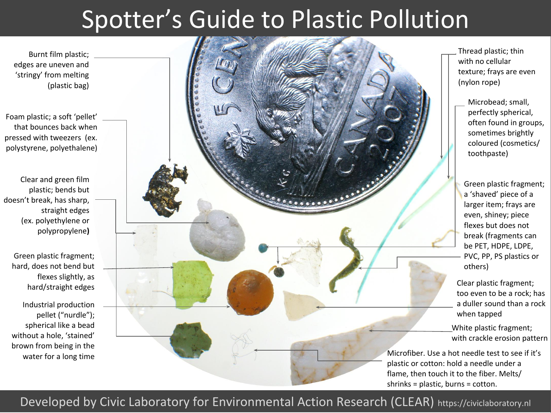## Spotter's Guide to Plastic Pollution

Burnt film plastic; edges are uneven and 'stringy' from melting (plastic bag)

Foam plastic; a soft 'pellet' that bounces back when pressed with tweezers (ex. polystyrene, polyethalene)

Clear and green film plastic; bends but doesn't break, has sharp, straight edges (ex. polyethylene or polypropylene**)**

Green plastic fragment; hard, does not bend but flexes slightly, as hard/straight edges

Industrial production pellet ("nurdle"); spherical like a bead without a hole, 'stained' brown from being in the water for a long time



Thread plastic; thin with no cellular texture; frays are even (nylon rope)

Microbead; small, perfectly spherical, often found in groups, sometimes brightly coloured (cosmetics/ toothpaste)

Green plastic fragment; a 'shaved' piece of a larger item; frays are even, shiney; piece flexes but does not break (fragments can be PET, HDPE, LDPE, PVC, PP, PS plastics or others)

Clear plastic fragment; too even to be a rock; has a duller sound than a rock when tapped

White plastic fragment; with crackle erosion pattern

Microfiber. Use a hot needle test to see if it's plastic or cotton: hold a needle under a flame, then touch it to the fiber. Melts/ shrinks = plastic, burns = cotton.

## Developed by Civic Laboratory for Environmental Action Research (CLEAR) https://civiclaboratory.nl